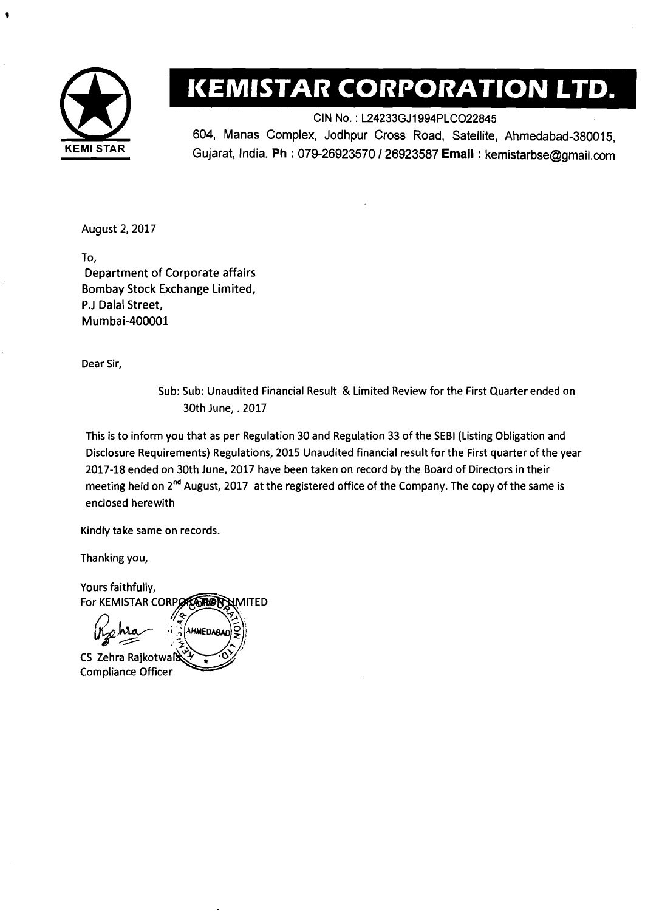

## **KEMISTAR CORPORATION LTD.**

CIN No. : L24233GJ1994PLC022845 604, Manas Complex, Jodhpur Cross Road, Satellite, Ahmedabad-380015, Gujarat, India. **Ph** : 079-26923570 1 26923587 **Email** : kemistarbse@gmail.com

August 2,2017

To, Department of Corporate affairs Bombay Stock Exchange Limited, P.J Dalal Street, Mumbai-400001

Dear Sir,

Sub: Sub: Unaudited Financial Result & Limited Review for the First Quarter ended on 30th June, .2017

This is to inform you that as per Regulation 30 and Regulation 33 of the SEBl (Listing Obligation and Disclosure Requirements) Regulations, 2015 Unaudited financial result for the First quarter of the year 2017-18 ended on 30th June, 2017 have been taken on record by the Board of Directors in their meeting held on 2<sup>nd</sup> August, 2017 at the registered office of the Company. The copy of the same is enclosed herewith

Kindly take same on records.

Thanking you,

Yours faithfully, For KEMISTAR CORPORATION MITED **AHMEDABAC** CS Zehra Rajkotwa

Compliance Officer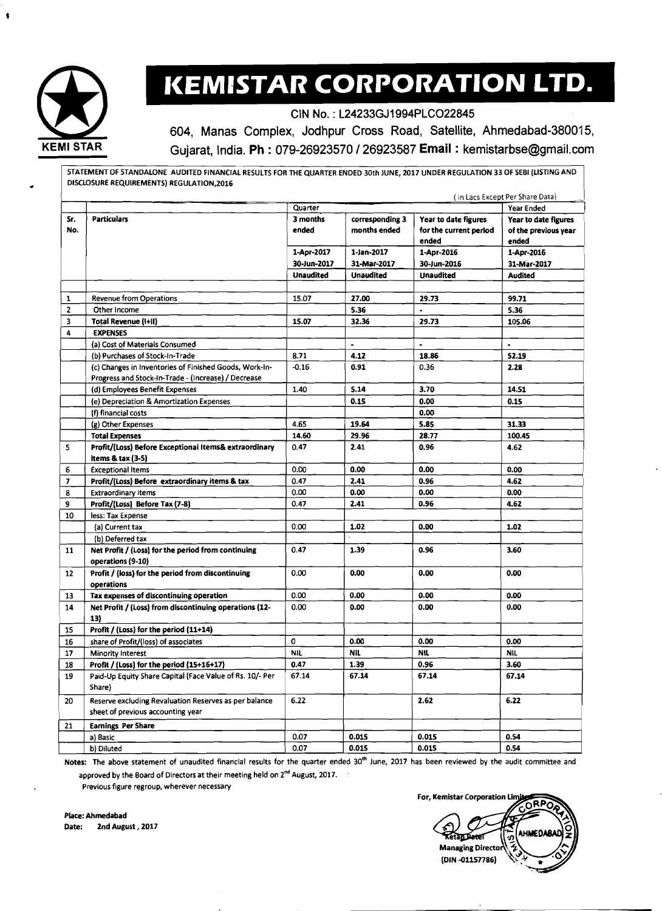

# **KEMISTAR CORPORATION LTD.**

CIN No. : L24233GJ1994PLC022845

604, Manas Complex, Jodhpur Cross Road, Satellite, Ahmedabad-380015, Gujarat, India. Ph : 079-26923570 I26923587 **Email** : kemistarbse@gmail.com

STATEMENT OF STANDALONE AUDITED FINANCIAL RESULTS FOR THE QUARTER ENDED 30th JUNE, 2017 UNDER REGULATION 33 OF SEBI (LISTING AND DISCLOSURE REQUIREMENTS) REGULATION.2016

|                         | (in Lacs Except Per Share Data)                                         |                  |                  |                        |                      |
|-------------------------|-------------------------------------------------------------------------|------------------|------------------|------------------------|----------------------|
|                         |                                                                         | Quarter          |                  |                        | Year Ended           |
| Sr.                     | <b>Particulars</b>                                                      | 3 months         | corresponding 3  | Year to date figures   | Year to date figures |
| No.                     |                                                                         | ended            | months ended     | for the current period | of the previous year |
|                         |                                                                         |                  |                  | ended                  | ended                |
|                         |                                                                         | 1-Apr-2017       | 1-Jan-2017       | 1-Apr-2016             | 1-Apr-2016           |
|                         |                                                                         | 30-Jun-2017      | 31-Mar-2017      | 30-Jun-2016            | 31-Mar-2017          |
|                         |                                                                         | <b>Unaudited</b> | <b>Unaudited</b> | <b>Unaudited</b>       | <b>Audited</b>       |
|                         |                                                                         |                  |                  |                        |                      |
| 1                       | <b>Revenue from Operations</b>                                          | 15.07            | 27.00            | 29.73                  | 99.71                |
| $\overline{2}$          | Other Income                                                            |                  | 5.36             |                        | 5.36                 |
| 3                       | <b>Total Revenue (I+II)</b>                                             | 15.07            | 32.36            | 29.73                  | 105.06               |
| 4                       | <b>EXPENSES</b>                                                         |                  |                  |                        |                      |
|                         | (a) Cost of Materials Consumed                                          |                  | $\blacksquare$   |                        | $\ddot{\phantom{0}}$ |
|                         | (b) Purchases of Stock-In-Trade                                         | 8.71             | 4.12             | 18.86                  | 52.19                |
|                         | (c) Changes in Inventories of Finished Goods, Work-In-                  | $-0.16$          | 0.91             | 0.36                   | 2.28                 |
|                         | Progress and Stock-In-Trade - (Increase) / Decrease                     |                  |                  |                        |                      |
|                         | (d) Employees Benefit Expenses                                          | 1.40             | 5.14             | 3.70                   | 14.51                |
|                         | (e) Depreciation & Amortization Expenses                                |                  | 0.15             | 0.00                   | 0.15                 |
|                         | (f) financial costs                                                     |                  |                  | 0.00                   |                      |
|                         | (g) Other Expenses                                                      | 4.65             | 19.64            | 5.85                   | 31.33                |
|                         | <b>Total Expenses</b>                                                   | 14.60            | 29.96            | 28.77                  | 100.45               |
| 5                       | Profit/(Loss) Before Exceptional Items& extraordinary                   | 0.47             | 2.41             | 0.96                   | 4.62                 |
|                         | items & tax (3-5)                                                       |                  |                  |                        |                      |
| 6                       | <b>Exceptional Items</b>                                                | 0.00             | 0.00             | 0.00                   | 0.00                 |
| $\overline{\mathbf{z}}$ | Profit/(Loss) Before extraordinary items & tax                          | 0.47             | 2.41             | 0.96                   | 4.62                 |
| 8                       | <b>Extraordinary items</b>                                              | 0.00             | 0.00             | 0.00                   | 0.00                 |
| 9                       | Profit/(Loss) Before Tax (7-8)                                          | 0.47             | 2.41             | 0.96                   | 4.62                 |
| 10                      | less: Tax Expense                                                       |                  |                  |                        |                      |
|                         | (a) Current tax                                                         | 0.00             | 1.02             | 0.00                   | 1.02                 |
|                         | (b) Deferred tax                                                        |                  |                  |                        |                      |
| 11                      | Net Profit / (Loss) for the period from continuing<br>operations (9-10) | 0.47             | 1.39             | 0.96                   | 3.60                 |
| 12                      | Profit / (loss) for the period from discontinuing                       | 0.00             | 0.00             | 0.00                   | 0.00                 |
|                         | operations                                                              |                  |                  |                        |                      |
| 13                      | Tax expenses of discontinuing operation                                 | 0.00             | 0.00             | 0.00                   | 0.00                 |
| 14                      | Net Profit / (Loss) from discontinuing operations (12-                  | 0.00             | 0.00             | 0.00                   | 0.00                 |
|                         | 13)                                                                     |                  |                  |                        |                      |
| 15                      | Profit / (Loss) for the period (11+14)                                  |                  |                  |                        |                      |
| 16                      | share of Profit/(loss) of associates                                    | 0                | 0.00             | 0.00                   | 0.00                 |
| 17                      | Minority Interest                                                       | <b>NIL</b>       | <b>NIL</b>       | <b>NIL</b>             | NIL                  |
| 18                      | Profit / (Loss) for the period (15+16+17)                               | 0.47             | 1.39             | 0.96                   | 3.60                 |
| 19                      | Paid-Up Equity Share Capital (Face Value of Rs. 10/- Per                | 67.14            | 67.14            | 67.14                  | 67.14                |
|                         | Share)                                                                  |                  |                  |                        |                      |
| 20                      | Reserve excluding Revaluation Reserves as per balance                   | 6.22             |                  | 2.62                   | 6.22                 |
|                         | sheet of previous accounting year                                       |                  |                  |                        |                      |
|                         |                                                                         |                  |                  |                        |                      |
| 21                      | <b>Earnings Per Share</b>                                               |                  |                  |                        |                      |
|                         | a) Basic                                                                | 0.07             | 0.015            | 0.015                  | 0.54<br>0.54         |
|                         | b) Diluted                                                              | 0.07             | 0.015            | 0.015                  |                      |

Notes: The above statement of unaudited financial results for the quarter ended 30<sup>th</sup> June, 2017 has been reviewed by the audit committee and approved by the Board of Directors at their meeting held on 2<sup>nd</sup> August, 2017.

Previous figure regroup, wherever necessary

**For, Kemistar Corporation Limi** RP, **HMEDAB** aan T **Managing Director** (DIN-01157786)

Place: Ahmedabad Date: 2nd August, 2017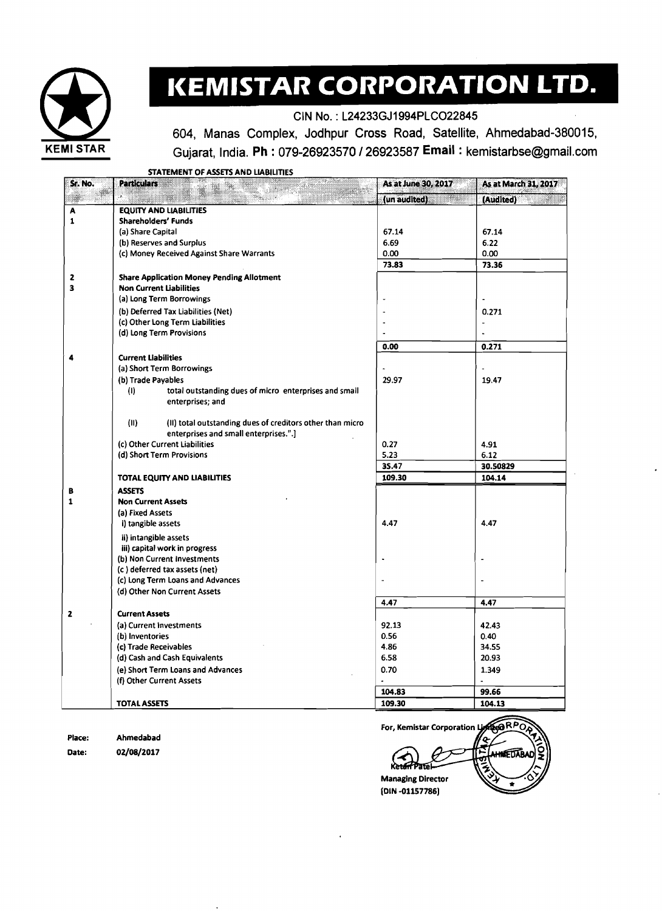

## **KEMISTAR CORPORATION LTD.**

CIN No. : L24233GJ1994PLC022845

604, Manas Complex, Jodhpur Cross Road, Satellite, Ahmedabad-380015, **KEMl STAR** Gujarat, India. **Ph** : 079-26923570 I26923587 **Email** : kemistarbse@gmail.com

STATEMENT OF ASSETS AND LIABILITIES

| Sr. No.                 | <b>Particulars</b><br>.                                           | As at June 30, 2017         | As at March 31, 2017 |
|-------------------------|-------------------------------------------------------------------|-----------------------------|----------------------|
|                         |                                                                   | (un audited)<br><u>mana</u> | (Audited)            |
| A                       | <b>EQUITY AND LIABILITIES</b>                                     |                             |                      |
| $\mathbf{1}$            | Shareholders' Funds                                               |                             |                      |
|                         | (a) Share Capital                                                 | 67.14                       | 67.14                |
|                         | (b) Reserves and Surplus                                          | 6.69                        | 6.22                 |
|                         | (c) Money Received Against Share Warrants                         | 0.00                        | 0.00                 |
|                         |                                                                   | 73.83                       | 73.36                |
| $\mathbf{z}$            | <b>Share Application Money Pending Allotment</b>                  |                             |                      |
| $\overline{\mathbf{3}}$ | <b>Non Current Liabilities</b>                                    |                             |                      |
|                         | (a) Long Term Borrowings                                          |                             |                      |
|                         | (b) Deferred Tax Liabilities (Net)                                |                             | 0.271                |
|                         | (c) Other Long Term Liabilities                                   |                             | $\overline{a}$       |
|                         | (d) Long Term Provisions                                          |                             |                      |
|                         |                                                                   | 0.00                        | 0.271                |
| 4                       | <b>Current Liabilities</b>                                        |                             |                      |
|                         | (a) Short Term Borrowings                                         |                             |                      |
|                         | (b) Trade Payables                                                | 29.97                       | 19.47                |
|                         | total outstanding dues of micro enterprises and small<br>(1)      |                             |                      |
|                         | enterprises; and                                                  |                             |                      |
|                         | (II)<br>(II) total outstanding dues of creditors other than micro |                             |                      |
|                         | enterprises and small enterprises.".]                             |                             |                      |
|                         | (c) Other Current Liabilities                                     | 0.27                        | 4.91                 |
|                         | (d) Short Term Provisions                                         | 5.23                        | 6.12                 |
|                         |                                                                   | 35.47                       | 30.50829             |
|                         | TOTAL EQUITY AND LIABILITIES                                      | 109.30                      | 104.14               |
| В                       | <b>ASSETS</b>                                                     |                             |                      |
| $\mathbf{1}$            | <b>Non Current Assets</b>                                         |                             |                      |
|                         | (a) Fixed Assets                                                  |                             |                      |
|                         | i) tangible assets                                                | 4.47                        | 4.47                 |
|                         | ii) intangible assets                                             |                             |                      |
|                         | iii) capital work in progress                                     |                             |                      |
|                         | (b) Non Current Investments                                       |                             |                      |
|                         | (c) deferred tax assets (net)                                     |                             |                      |
|                         | (c) Long Term Loans and Advances                                  |                             |                      |
|                         | (d) Other Non Current Assets                                      |                             |                      |
|                         |                                                                   | 4.47                        | 4.47                 |
| $\mathbf{z}$            | <b>Current Assets</b>                                             |                             |                      |
|                         | (a) Current Investments                                           | 92.13                       | 42.43                |
|                         | (b) Inventories                                                   | 0.56                        | 0.40                 |
|                         | (c) Trade Receivables                                             | 4.86                        | 34.55                |
|                         | (d) Cash and Cash Equivalents                                     | 6.58                        | 20.93                |
|                         | (e) Short Term Loans and Advances                                 | 0.70                        | 1.349                |
|                         | (f) Other Current Assets                                          |                             |                      |
|                         |                                                                   | 104.83                      | 99.66                |
|                         | <b>TOTAL ASSETS</b>                                               | 109.30                      | 104.13               |
|                         |                                                                   |                             |                      |

Place: Ahrnedabad Date: **02/08/2017** 

**ORPO** For, Kemistar Corporation EDA **Managing Director** (DIN-01157786)